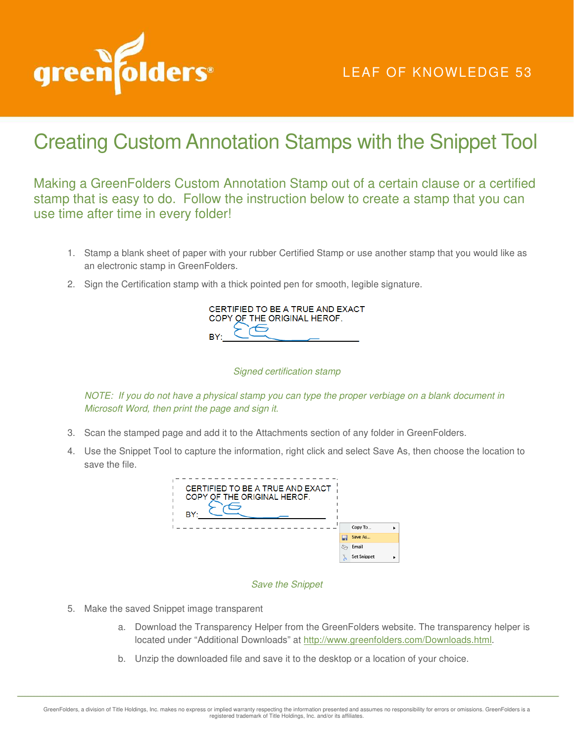

## LEAF OF KNOWLEDGE 53

# Creating Custom Annotation Stamps with the Snippet Tool

Making a GreenFolders Custom Annotation Stamp out of a certain clause or a certified stamp that is easy to do. Follow the instruction below to create a stamp that you can use time after time in every folder!

- 1. Stamp a blank sheet of paper with your rubber Certified Stamp or use another stamp that you would like as an electronic stamp in GreenFolders.
- 2. Sign the Certification stamp with a thick pointed pen for smooth, legible signature.

| CERTIFIED TO BE A TRUE AND EXACT |
|----------------------------------|
| COPY OF THE ORIGINAL HEROF.      |
|                                  |
|                                  |

#### *Signed certification stamp*

*NOTE: If you do not have a physical stamp you can type the proper verbiage on a blank document in Microsoft Word, then print the page and sign it.* 

- 3. Scan the stamped page and add it to the Attachments section of any folder in GreenFolders.
- 4. Use the Snippet Tool to capture the information, right click and select Save As, then choose the location to save the file.



#### *Save the Snippet*

- 5. Make the saved Snippet image transparent
	- a. Download the Transparency Helper from the GreenFolders website. The transparency helper is located under "Additional Downloads" at http://www.greenfolders.com/Downloads.html.
	- b. Unzip the downloaded file and save it to the desktop or a location of your choice.